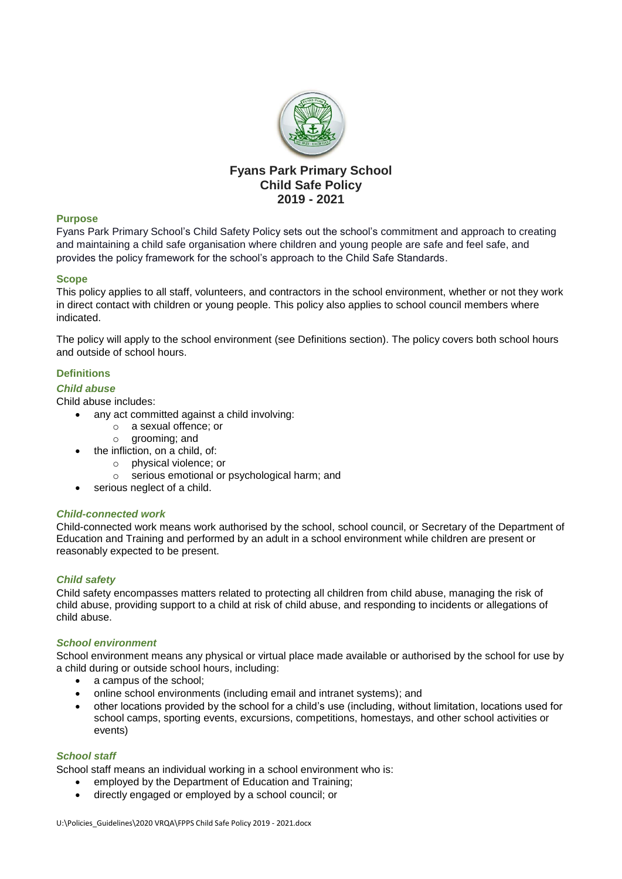

# **Fyans Park Primary School Child Safe Policy 2019 - 2021**

## **Purpose**

Fyans Park Primary School's Child Safety Policy sets out the school's commitment and approach to creating and maintaining a child safe organisation where children and young people are safe and feel safe, and provides the policy framework for the school's approach to the Child Safe Standards.

### **Scope**

This policy applies to all staff, volunteers, and contractors in the school environment, whether or not they work in direct contact with children or young people. This policy also applies to school council members where indicated.

The policy will apply to the school environment (see Definitions section). The policy covers both school hours and outside of school hours.

## **Definitions**

### *Child abuse*

Child abuse includes:

- any act committed against a child involving:
	- o a sexual offence; or
	- o grooming; and
	- the infliction, on a child, of:
		- o physical violence; or
		- o serious emotional or psychological harm; and
- serious neglect of a child.

## *Child-connected work*

Child-connected work means work authorised by the school, school council, or Secretary of the Department of Education and Training and performed by an adult in a school environment while children are present or reasonably expected to be present.

## *Child safety*

Child safety encompasses matters related to protecting all children from child abuse, managing the risk of child abuse, providing support to a child at risk of child abuse, and responding to incidents or allegations of child abuse.

#### *School environment*

School environment means any physical or virtual place made available or authorised by the school for use by a child during or outside school hours, including:

- a campus of the school;
- online school environments (including email and intranet systems); and
- other locations provided by the school for a child's use (including, without limitation, locations used for school camps, sporting events, excursions, competitions, homestays, and other school activities or events)

#### *School staff*

School staff means an individual working in a school environment who is:

- employed by the Department of Education and Training;
- directly engaged or employed by a school council; or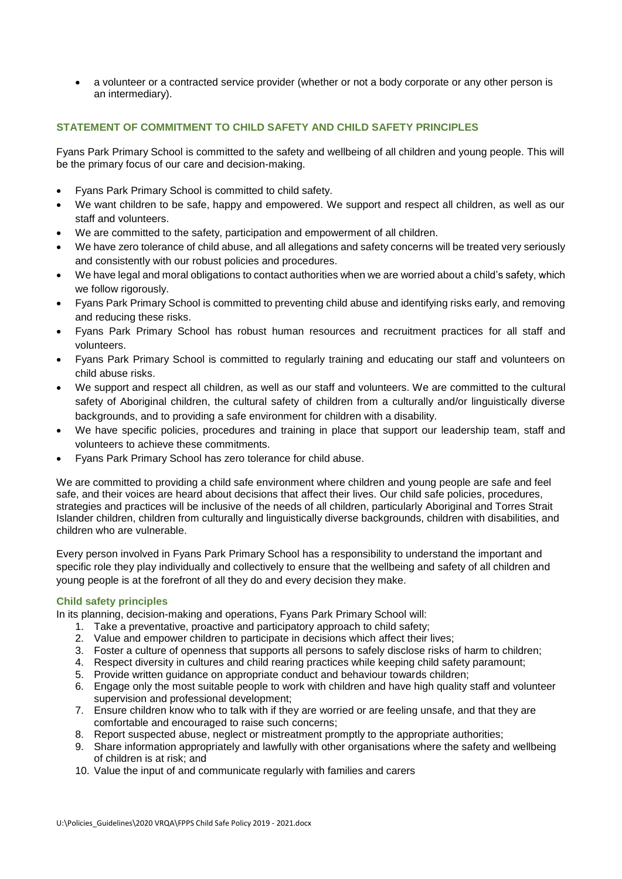a volunteer or a contracted service provider (whether or not a body corporate or any other person is an intermediary).

## **STATEMENT OF COMMITMENT TO CHILD SAFETY AND CHILD SAFETY PRINCIPLES**

Fyans Park Primary School is committed to the safety and wellbeing of all children and young people. This will be the primary focus of our care and decision-making.

- Fyans Park Primary School is committed to child safety.
- We want children to be safe, happy and empowered. We support and respect all children, as well as our staff and volunteers.
- We are committed to the safety, participation and empowerment of all children.
- We have zero tolerance of child abuse, and all allegations and safety concerns will be treated very seriously and consistently with our robust policies and procedures.
- We have legal and moral obligations to contact authorities when we are worried about a child's safety, which we follow rigorously.
- Fyans Park Primary School is committed to preventing child abuse and identifying risks early, and removing and reducing these risks.
- Fyans Park Primary School has robust human resources and recruitment practices for all staff and volunteers.
- Fyans Park Primary School is committed to regularly training and educating our staff and volunteers on child abuse risks.
- We support and respect all children, as well as our staff and volunteers. We are committed to the cultural safety of Aboriginal children, the cultural safety of children from a culturally and/or linguistically diverse backgrounds, and to providing a safe environment for children with a disability.
- We have specific policies, procedures and training in place that support our leadership team, staff and volunteers to achieve these commitments.
- Fyans Park Primary School has zero tolerance for child abuse.

We are committed to providing a child safe environment where children and young people are safe and feel safe, and their voices are heard about decisions that affect their lives. Our child safe policies, procedures, strategies and practices will be inclusive of the needs of all children, particularly Aboriginal and Torres Strait Islander children, children from culturally and linguistically diverse backgrounds, children with disabilities, and children who are vulnerable.

Every person involved in Fyans Park Primary School has a responsibility to understand the important and specific role they play individually and collectively to ensure that the wellbeing and safety of all children and young people is at the forefront of all they do and every decision they make.

## **Child safety principles**

In its planning, decision-making and operations, Fyans Park Primary School will:

- 1. Take a preventative, proactive and participatory approach to child safety;
- 2. Value and empower children to participate in decisions which affect their lives;
- 3. Foster a culture of openness that supports all persons to safely disclose risks of harm to children;
- 4. Respect diversity in cultures and child rearing practices while keeping child safety paramount;
- 5. Provide written guidance on appropriate conduct and behaviour towards children;
- 6. Engage only the most suitable people to work with children and have high quality staff and volunteer supervision and professional development;
- 7. Ensure children know who to talk with if they are worried or are feeling unsafe, and that they are comfortable and encouraged to raise such concerns;
- 8. Report suspected abuse, neglect or mistreatment promptly to the appropriate authorities;
- 9. Share information appropriately and lawfully with other organisations where the safety and wellbeing of children is at risk; and
- 10. Value the input of and communicate regularly with families and carers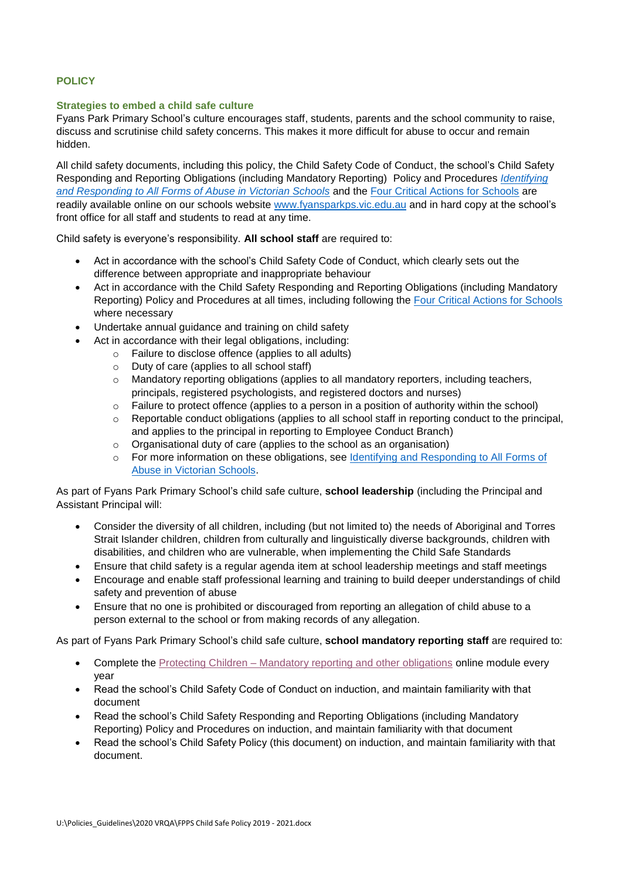## **POLICY**

### **Strategies to embed a child safe culture**

Fyans Park Primary School's culture encourages staff, students, parents and the school community to raise, discuss and scrutinise child safety concerns. This makes it more difficult for abuse to occur and remain hidden.

All child safety documents, including this policy, the Child Safety Code of Conduct, the school's Child Safety Responding and Reporting Obligations (including Mandatory Reporting) Policy and Procedures *[Identifying](https://www.education.vic.gov.au/Documents/about/programs/health/protect/ChildSafeStandard5_SchoolsGuide.pdf)  [and Responding to All Forms of Abuse in Victorian Schools](https://www.education.vic.gov.au/Documents/about/programs/health/protect/ChildSafeStandard5_SchoolsGuide.pdf)* and the [Four Critical Actions for Schools](https://www.education.vic.gov.au/Documents/about/programs/health/protect/FourCriticalActions_ChildAbuse.pdf) are readily available online on our schools website [www.fyansparkps.vic.edu.au](http://www.fyansparkps.vic.edu.au/) and in hard copy at the school's front office for all staff and students to read at any time.

Child safety is everyone's responsibility. **All school staff** are required to:

- Act in accordance with the school's Child Safety Code of Conduct, which clearly sets out the difference between appropriate and inappropriate behaviour
- Act in accordance with the Child Safety Responding and Reporting Obligations (including Mandatory Reporting) Policy and Procedures at all times, including following the [Four Critical Actions for Schools](https://www.education.vic.gov.au/Documents/about/programs/health/protect/FourCriticalActions_ChildAbuse.pdf) where necessary
- Undertake annual guidance and training on child safety
- Act in accordance with their legal obligations, including:
	- o Failure to disclose offence (applies to all adults)
	- o Duty of care (applies to all school staff)
	- $\circ$  Mandatory reporting obligations (applies to all mandatory reporters, including teachers, principals, registered psychologists, and registered doctors and nurses)
	- o Failure to protect offence (applies to a person in a position of authority within the school)
	- $\circ$  Reportable conduct obligations (applies to all school staff in reporting conduct to the principal, and applies to the principal in reporting to Employee Conduct Branch)
	- o Organisational duty of care (applies to the school as an organisation)
	- o For more information on these obligations, see Identifying [and Responding to All Forms of](https://www.education.vic.gov.au/Documents/about/programs/health/protect/ChildSafeStandard5_SchoolsGuide.pdf)  [Abuse in Victorian Schools.](https://www.education.vic.gov.au/Documents/about/programs/health/protect/ChildSafeStandard5_SchoolsGuide.pdf)

As part of Fyans Park Primary School's child safe culture, **school leadership** (including the Principal and Assistant Principal will:

- Consider the diversity of all children, including (but not limited to) the needs of Aboriginal and Torres Strait Islander children, children from culturally and linguistically diverse backgrounds, children with disabilities, and children who are vulnerable, when implementing the Child Safe Standards
- Ensure that child safety is a regular agenda item at school leadership meetings and staff meetings
- Encourage and enable staff professional learning and training to build deeper understandings of child safety and prevention of abuse
- Ensure that no one is prohibited or discouraged from reporting an allegation of child abuse to a person external to the school or from making records of any allegation.

As part of Fyans Park Primary School's child safe culture, **school mandatory reporting staff** are required to:

- Complete the Protecting Children [Mandatory reporting and other obligations](http://elearn.com.au/det/protectingchildren/) online module every year
- Read the school's Child Safety Code of Conduct on induction, and maintain familiarity with that document
- Read the school's Child Safety Responding and Reporting Obligations (including Mandatory Reporting) Policy and Procedures on induction, and maintain familiarity with that document
- Read the school's Child Safety Policy (this document) on induction, and maintain familiarity with that document.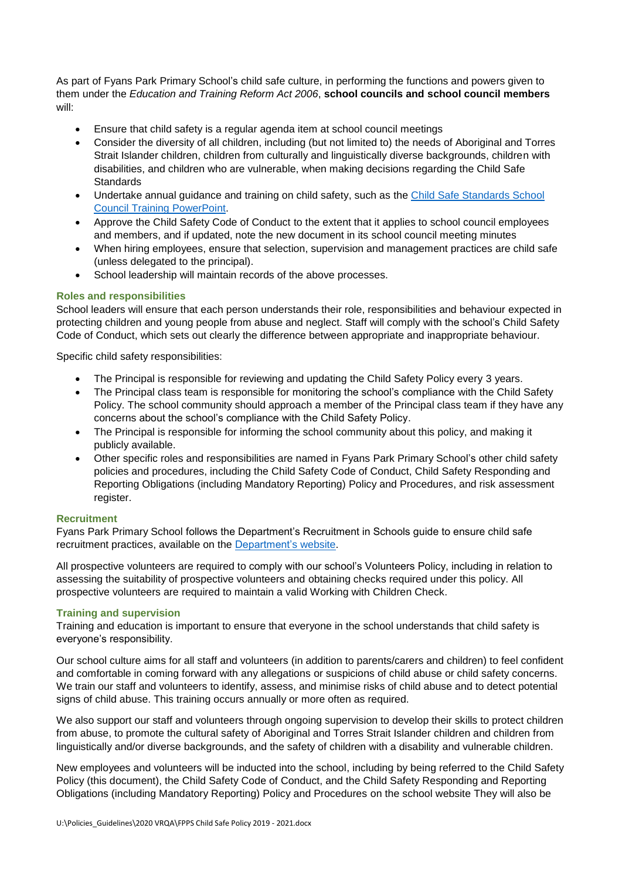As part of Fyans Park Primary School's child safe culture, in performing the functions and powers given to them under the *Education and Training Reform Act 2006*, **school councils and school council members** will:

- Ensure that child safety is a regular agenda item at school council meetings
- Consider the diversity of all children, including (but not limited to) the needs of Aboriginal and Torres Strait Islander children, children from culturally and linguistically diverse backgrounds, children with disabilities, and children who are vulnerable, when making decisions regarding the Child Safe **Standards**
- Undertake annual guidance and training on child safety, such as the [Child Safe Standards School](https://www.education.vic.gov.au/Documents/about/programs/health/protect/school-council-training.pptx)  [Council Training](https://www.education.vic.gov.au/Documents/about/programs/health/protect/school-council-training.pptx) PowerPoint.
- Approve the Child Safety Code of Conduct to the extent that it applies to school council employees and members, and if updated, note the new document in its school council meeting minutes
- When hiring employees, ensure that selection, supervision and management practices are child safe (unless delegated to the principal).
- School leadership will maintain records of the above processes.

## **Roles and responsibilities**

School leaders will ensure that each person understands their role, responsibilities and behaviour expected in protecting children and young people from abuse and neglect. Staff will comply with the school's Child Safety Code of Conduct, which sets out clearly the difference between appropriate and inappropriate behaviour.

Specific child safety responsibilities:

- The Principal is responsible for reviewing and updating the Child Safety Policy every 3 years.
- The Principal class team is responsible for monitoring the school's compliance with the Child Safety Policy. The school community should approach a member of the Principal class team if they have any concerns about the school's compliance with the Child Safety Policy.
- The Principal is responsible for informing the school community about this policy, and making it publicly available.
- Other specific roles and responsibilities are named in Fyans Park Primary School's other child safety policies and procedures, including the Child Safety Code of Conduct, Child Safety Responding and Reporting Obligations (including Mandatory Reporting) Policy and Procedures, and risk assessment register.

## **Recruitment**

Fyans Park Primary School follows the Department's Recruitment in Schools guide to ensure child safe recruitment practices, available on the [Department's website.](https://www.education.vic.gov.au/hrweb/careers/Pages/recruitinsch.aspx)

All prospective volunteers are required to comply with our school's Volunteers Policy, including in relation to assessing the suitability of prospective volunteers and obtaining checks required under this policy. All prospective volunteers are required to maintain a valid Working with Children Check.

## **Training and supervision**

Training and education is important to ensure that everyone in the school understands that child safety is everyone's responsibility.

Our school culture aims for all staff and volunteers (in addition to parents/carers and children) to feel confident and comfortable in coming forward with any allegations or suspicions of child abuse or child safety concerns. We train our staff and volunteers to identify, assess, and minimise risks of child abuse and to detect potential signs of child abuse. This training occurs annually or more often as required.

We also support our staff and volunteers through ongoing supervision to develop their skills to protect children from abuse, to promote the cultural safety of Aboriginal and Torres Strait Islander children and children from linguistically and/or diverse backgrounds, and the safety of children with a disability and vulnerable children.

New employees and volunteers will be inducted into the school, including by being referred to the Child Safety Policy (this document), the Child Safety Code of Conduct, and the Child Safety Responding and Reporting Obligations (including Mandatory Reporting) Policy and Procedures on the school website They will also be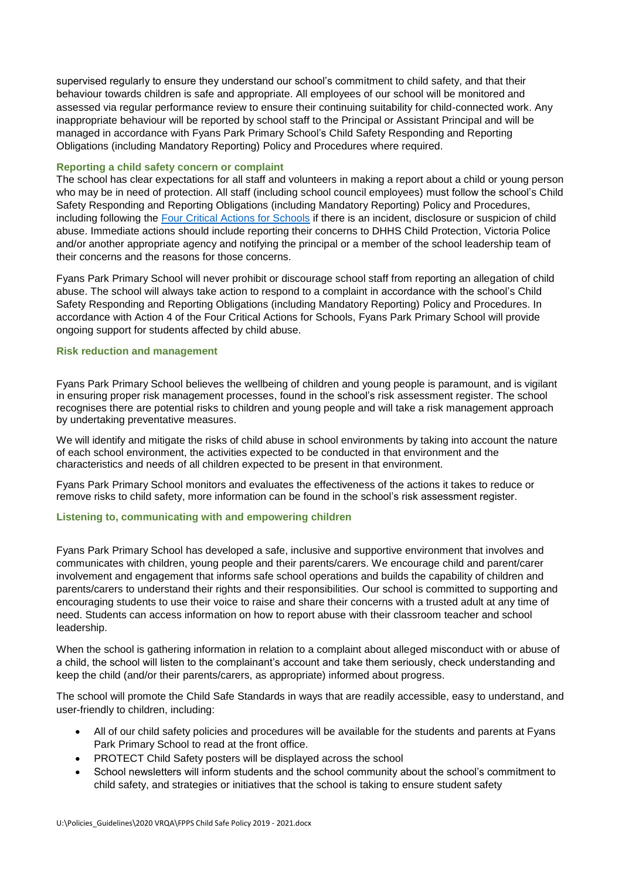supervised regularly to ensure they understand our school's commitment to child safety, and that their behaviour towards children is safe and appropriate. All employees of our school will be monitored and assessed via regular performance review to ensure their continuing suitability for child-connected work. Any inappropriate behaviour will be reported by school staff to the Principal or Assistant Principal and will be managed in accordance with Fyans Park Primary School's Child Safety Responding and Reporting Obligations (including Mandatory Reporting) Policy and Procedures where required.

### **Reporting a child safety concern or complaint**

The school has clear expectations for all staff and volunteers in making a report about a child or young person who may be in need of protection. All staff (including school council employees) must follow the school's Child Safety Responding and Reporting Obligations (including Mandatory Reporting) Policy and Procedures, including following the [Four Critical Actions for Schools](https://www.education.vic.gov.au/Documents/about/programs/health/protect/FourCriticalActions_ChildAbuse.pdf) if there is an incident, disclosure or suspicion of child abuse. Immediate actions should include reporting their concerns to DHHS Child Protection, Victoria Police and/or another appropriate agency and notifying the principal or a member of the school leadership team of their concerns and the reasons for those concerns.

Fyans Park Primary School will never prohibit or discourage school staff from reporting an allegation of child abuse. The school will always take action to respond to a complaint in accordance with the school's Child Safety Responding and Reporting Obligations (including Mandatory Reporting) Policy and Procedures. In accordance with Action 4 of the Four Critical Actions for Schools, Fyans Park Primary School will provide ongoing support for students affected by child abuse.

### **Risk reduction and management**

Fyans Park Primary School believes the wellbeing of children and young people is paramount, and is vigilant in ensuring proper risk management processes, found in the school's risk assessment register. The school recognises there are potential risks to children and young people and will take a risk management approach by undertaking preventative measures.

We will identify and mitigate the risks of child abuse in school environments by taking into account the nature of each school environment, the activities expected to be conducted in that environment and the characteristics and needs of all children expected to be present in that environment.

Fyans Park Primary School monitors and evaluates the effectiveness of the actions it takes to reduce or remove risks to child safety, more information can be found in the school's risk assessment register.

## **Listening to, communicating with and empowering children**

Fyans Park Primary School has developed a safe, inclusive and supportive environment that involves and communicates with children, young people and their parents/carers. We encourage child and parent/carer involvement and engagement that informs safe school operations and builds the capability of children and parents/carers to understand their rights and their responsibilities. Our school is committed to supporting and encouraging students to use their voice to raise and share their concerns with a trusted adult at any time of need. Students can access information on how to report abuse with their classroom teacher and school leadership.

When the school is gathering information in relation to a complaint about alleged misconduct with or abuse of a child, the school will listen to the complainant's account and take them seriously, check understanding and keep the child (and/or their parents/carers, as appropriate) informed about progress.

The school will promote the Child Safe Standards in ways that are readily accessible, easy to understand, and user-friendly to children, including:

- All of our child safety policies and procedures will be available for the students and parents at Fyans Park Primary School to read at the front office.
- PROTECT Child Safety posters will be displayed across the school
- School newsletters will inform students and the school community about the school's commitment to child safety, and strategies or initiatives that the school is taking to ensure student safety